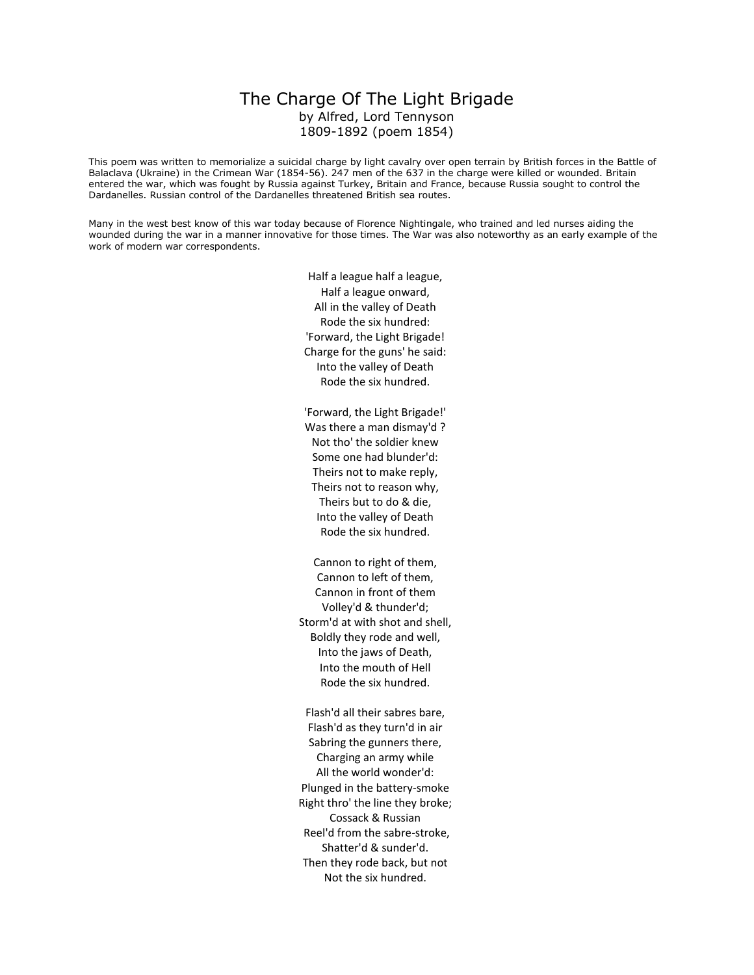## The Charge Of The Light Brigade by Alfred, Lord Tennyson 1809-1892 (poem 1854)

This poem was written to memorialize a suicidal charge by light cavalry over open terrain by British forces in the Battle of Balaclava (Ukraine) in the Crimean War (1854-56). 247 men of the 637 in the charge were killed or wounded. Britain entered the war, which was fought by Russia against Turkey, Britain and France, because Russia sought to control the Dardanelles. Russian control of the Dardanelles threatened British sea routes.

Many in the west best know of this war today because of Florence Nightingale, who trained and led nurses aiding the wounded during the war in a manner innovative for those times. The War was also noteworthy as an early example of the work of modern war correspondents.

> Half a league half a league, Half a league onward, All in the valley of Death Rode the six hundred: 'Forward, the Light Brigade! Charge for the guns' he said: Into the valley of Death Rode the six hundred.

'Forward, the Light Brigade!' Was there a man dismay'd ? Not tho' the soldier knew Some one had blunder'd: Theirs not to make reply, Theirs not to reason why, Theirs but to do & die, Into the valley of Death Rode the six hundred.

Cannon to right of them, Cannon to left of them, Cannon in front of them Volley'd & thunder'd; Storm'd at with shot and shell, Boldly they rode and well, Into the jaws of Death, Into the mouth of Hell Rode the six hundred.

Flash'd all their sabres bare, Flash'd as they turn'd in air Sabring the gunners there, Charging an army while All the world wonder'd: Plunged in the battery-smoke Right thro' the line they broke; Cossack & Russian Reel'd from the sabre-stroke, Shatter'd & sunder'd. Then they rode back, but not Not the six hundred.